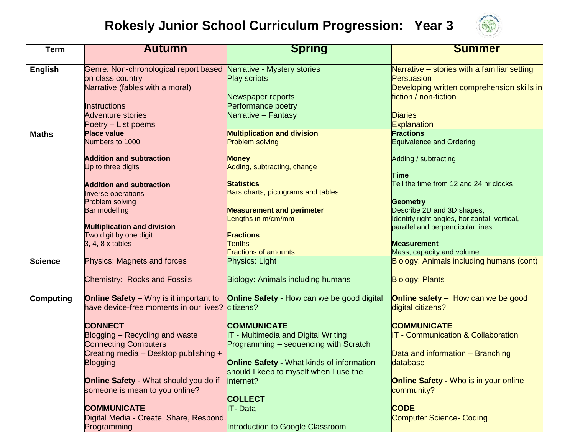## **Rokesly Junior School Curriculum Progression: Year 3**



| <b>Term</b>      | <b>Autumn</b>                                                     | <b>Spring</b>                                     | <b>Summer</b>                                                                     |
|------------------|-------------------------------------------------------------------|---------------------------------------------------|-----------------------------------------------------------------------------------|
|                  |                                                                   |                                                   |                                                                                   |
| English          | Genre: Non-chronological report based Narrative - Mystery stories |                                                   | Narrative - stories with a familiar setting                                       |
|                  | on class country                                                  | <b>Play scripts</b>                               | Persuasion                                                                        |
|                  | Narrative (fables with a moral)                                   |                                                   | Developing written comprehension skills in                                        |
|                  |                                                                   | Newspaper reports                                 | fiction / non-fiction                                                             |
|                  | <b>Instructions</b>                                               | Performance poetry                                |                                                                                   |
|                  | <b>Adventure stories</b>                                          | Narrative - Fantasy                               | <b>Diaries</b>                                                                    |
|                  | Poetry – List poems                                               |                                                   | <b>Explanation</b>                                                                |
| <b>Maths</b>     | <b>Place value</b>                                                | <b>Multiplication and division</b>                | <b>Fractions</b>                                                                  |
|                  | Numbers to 1000                                                   | <b>Problem solving</b>                            | <b>Equivalence and Ordering</b>                                                   |
|                  | <b>Addition and subtraction</b>                                   | <b>Money</b>                                      | Adding / subtracting                                                              |
|                  | Up to three digits                                                | Adding, subtracting, change                       |                                                                                   |
|                  |                                                                   |                                                   | <b>Time</b>                                                                       |
|                  | <b>Addition and subtraction</b>                                   | <b>Statistics</b>                                 | Tell the time from 12 and 24 hr clocks                                            |
|                  | Inverse operations                                                | Bars charts, pictograms and tables                |                                                                                   |
|                  | Problem solving                                                   |                                                   | <b>Geometry</b>                                                                   |
|                  | Bar modelling                                                     | <b>Measurement and perimeter</b>                  | Describe 2D and 3D shapes,                                                        |
|                  | <b>Multiplication and division</b>                                | engths in m/cm/mm                                 | Identify right angles, horizontal, vertical,<br>parallel and perpendicular lines. |
|                  | Two digit by one digit                                            | <b>Fractions</b>                                  |                                                                                   |
|                  | 3, 4, 8 x tables                                                  | <b>Tenths</b>                                     | <b>Measurement</b>                                                                |
|                  |                                                                   | <b>Fractions of amounts</b>                       | Mass, capacity and volume                                                         |
| <b>Science</b>   | <b>Physics: Magnets and forces</b>                                | Physics: Light                                    | Biology: Animals including humans (cont)                                          |
|                  |                                                                   |                                                   |                                                                                   |
|                  | <b>Chemistry: Rocks and Fossils</b>                               | <b>Biology: Animals including humans</b>          | <b>Biology: Plants</b>                                                            |
|                  |                                                                   |                                                   |                                                                                   |
| <b>Computing</b> | <b>Online Safety</b> – Why is it important to                     | <b>Online Safety</b> - How can we be good digital | <b>Online safety - How can we be good</b>                                         |
|                  | have device-free moments in our lives?                            | citizens?                                         | digital citizens?                                                                 |
|                  | <b>CONNECT</b>                                                    | <b>COMMUNICATE</b>                                | <b>COMMUNICATE</b>                                                                |
|                  | Blogging - Recycling and waste                                    | IT - Multimedia and Digital Writing               | <b>IT - Communication &amp; Collaboration</b>                                     |
|                  | <b>Connecting Computers</b>                                       | Programming – sequencing with Scratch             |                                                                                   |
|                  | Creating media - Desktop publishing +                             |                                                   | Data and information - Branching                                                  |
|                  | <b>Blogging</b>                                                   | <b>Online Safety - What kinds of information</b>  | database                                                                          |
|                  |                                                                   | should I keep to myself when I use the            |                                                                                   |
|                  | <b>Online Safety - What should you do if</b>                      | internet?                                         | <b>Online Safety - Who is in your online</b>                                      |
|                  | someone is mean to you online?                                    |                                                   | community?                                                                        |
|                  |                                                                   | <b>COLLECT</b>                                    |                                                                                   |
|                  | <b>COMMUNICATE</b>                                                | <b>IT-Data</b>                                    | <b>CODE</b>                                                                       |
|                  | Digital Media - Create, Share, Respond.                           |                                                   | <b>Computer Science- Coding</b>                                                   |
|                  | Programming                                                       | Introduction to Google Classroom                  |                                                                                   |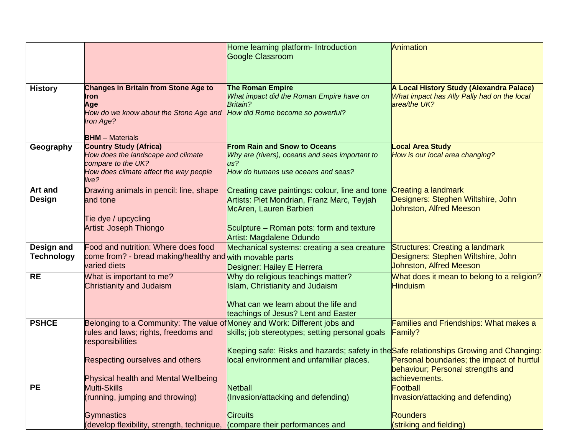|                                 |                                                                                                                                       | Home learning platform- Introduction<br><b>Google Classroom</b>                                                                                             | Animation                                                                                                      |
|---------------------------------|---------------------------------------------------------------------------------------------------------------------------------------|-------------------------------------------------------------------------------------------------------------------------------------------------------------|----------------------------------------------------------------------------------------------------------------|
| <b>History</b>                  | <b>Changes in Britain from Stone Age to</b><br><b>Iron</b><br>Age<br>How do we know about the Stone Age and<br>Iron Age?              | <b>The Roman Empire</b><br>What impact did the Roman Empire have on<br>Britain?<br>How did Rome become so powerful?                                         | A Local History Study (Alexandra Palace)<br>What impact has Ally Pally had on the local<br>area/the UK?        |
| Geography                       | <b>BHM</b> - Materials<br><b>Country Study (Africa)</b><br>How does the landscape and climate<br>compare to the UK?                   | <b>From Rain and Snow to Oceans</b><br>Why are (rivers), oceans and seas important to<br>$\mu s$ ?                                                          | <b>Local Area Study</b><br>How is our local area changing?                                                     |
|                                 | How does climate affect the way people<br>live?                                                                                       | How do humans use oceans and seas?                                                                                                                          |                                                                                                                |
| <b>Art and</b><br>Design        | Drawing animals in pencil: line, shape<br>and tone                                                                                    | Creating cave paintings: colour, line and tone<br>Artists: Piet Mondrian, Franz Marc, Teyjah<br>McAren, Lauren Barbieri                                     | <b>Creating a landmark</b><br>Designers: Stephen Wiltshire, John<br><b>Johnston, Alfred Meeson</b>             |
|                                 | Tie dye / upcycling<br><b>Artist: Joseph Thiongo</b>                                                                                  | Sculpture – Roman pots: form and texture<br>Artist: Magdalene Odundo                                                                                        |                                                                                                                |
| Design and<br><b>Technology</b> | Food and nutrition: Where does food<br>come from? - bread making/healthy and with movable parts<br>varied diets                       | Mechanical systems: creating a sea creature<br>Designer: Hailey E Herrera                                                                                   | <b>Structures: Creating a landmark</b><br>Designers: Stephen Wiltshire, John<br><b>Johnston, Alfred Meeson</b> |
| <b>RE</b>                       | What is important to me?<br><b>Christianity and Judaism</b>                                                                           | Why do religious teachings matter?<br><b>Islam, Christianity and Judaism</b><br>What can we learn about the life and<br>teachings of Jesus? Lent and Easter | What does it mean to belong to a religion?<br><b>Hinduism</b>                                                  |
| <b>PSHCE</b>                    | Belonging to a Community: The value of Money and Work: Different jobs and<br>rules and laws; rights, freedoms and<br>responsibilities | skills; job stereotypes; setting personal goals<br>Keeping safe: Risks and hazards; safety in the Safe relationships Growing and Changing:                  | <b>Families and Friendships: What makes a</b><br><b>Family?</b>                                                |
|                                 | Respecting ourselves and others                                                                                                       | local environment and unfamiliar places.                                                                                                                    | Personal boundaries; the impact of hurtful<br>behaviour; Personal strengths and<br>achievements.               |
| <b>PE</b>                       | Physical health and Mental Wellbeing<br><b>Multi-Skills</b>                                                                           | <b>Netball</b>                                                                                                                                              | Football                                                                                                       |
|                                 | (running, jumping and throwing)                                                                                                       | (Invasion/attacking and defending)                                                                                                                          | Invasion/attacking and defending)                                                                              |
|                                 | <b>Gymnastics</b>                                                                                                                     | <b>Circuits</b>                                                                                                                                             | <b>Rounders</b>                                                                                                |
|                                 | (develop flexibility, strength, technique, (compare their performances and                                                            |                                                                                                                                                             | (striking and fielding)                                                                                        |